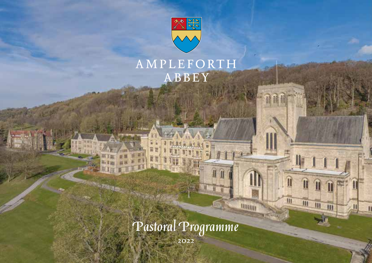

## AMPLEFORTH ABBEY

**AMPLES** 

**ABBEY** 

Π

 $\overline{\mathbf{m}}$ 

**Hillin** 

I

m

*Pastoral Programme*

2022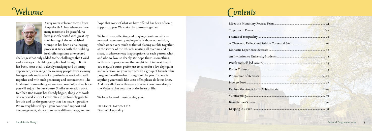| 28-29 |  |
|-------|--|
| 30    |  |
|       |  |
|       |  |



A very warm welcome to you from Ampleforth Abbey, where we have many reasons to be grateful. We have just celebrated with great joy the blessing of the refurbished Grange. It has been a challenging process at times, with the building itself offering some unexpected

challenges that only added to the challenges that Covid and shortages in building supplies had brought. But it has been, most of all, a deeply satisfying and inspiring experience, witnessing how so many people from so many backgrounds and areas of expertise have worked so well together and with such generosity and commitment. The final result is something we are very proud of, and we hope you will enjoy it in due course. Similar renovation work to Alban Roe House has already begun, along with work on a renewed Visitor Centre. We are profoundly grateful for this and for the generosity that has made it possible. We are very blessed by all your continued support and encouragement, shown in so many different ways, and we

hope that some of what we have offered has been of some support to you. We make the journey together.

We have been reflecting and praying about our call as a monastic community and especially about our mission, which we see very much as that of placing our life together at the service of the Church, inviting all to come and to share, in whatever way is appropriate for each person, what and who we love so deeply. We hope there is something in this year's programme that might be of interest to you. You may, of course, prefer just to come for a few days quiet and reflection, on your own or with a group of friends. This programme will evolve throughout the year. If there is anything you would like us to offer, please do let us know. And may all of us in this year come to know more deeply the Mystery that awaits us at the heart of life.

Meet the Monastery Retreat Team ......... Together in Prayer..................................................................................................6-7 Friends of Hospitality................................................................................................8 A Chance to Reflect and Relax - Come a Monastic Experience Retreats .................. An Invitation to University Students....... Parish and self-led Groups.......................................................................................13 Easter Triduum ..........................................................................................................13 Programme of Retreats......................................................................................14-27 How to Book .............................................................................................................27 Explore the Ampleforth Abbey Estate.... Volunteering..............................................................................................................30 Benedictine Oblates.................................................................................................30 Keeping in Touch......................................................................................................31

We look forward to welcoming you.

Fr Kevin Hayden OSB Dean of Hospitality

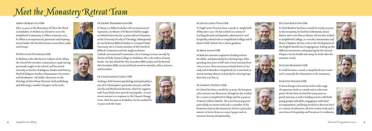#### FR CHAD BOULTON OSB



#### Abbot Robert Igo OSB

After 25 years at the Monastery of Christ the Word in Zimbabwe, Fr Robert was elected to serve the Ampleforth Community as Abbot in January 2021. Fr Abbot is an experienced, passionate and inspiring retreat leader who has led retreats across Africa, India and Europe.

#### Fr Wulstan Peterburs OSB

Fr Wulstan is the Sub-Prior & Cellarer of the Abbey. He entered the monastic community in 1998, having previously taught in the school, and has served variously as Teacher of Religious Studies and History, Head of Religious Studies, Housemaster, Procurator and Headmaster. He holds a doctorate on the theology of John Henry Newman, both publishing and delivering a number of papers on his work.



#### Fr Henry Wansbrough OSB

Fr Henry is a Biblical scholar with an international reputation. As Master of St Benet's Hall he taught at Oxford University for 14 years and was Chairman of the University Faculty of Theology. Subsequently he was Professor Biblical Studies at Liverpool Hope University. He is a former member of the Pontifical Biblical Commission and the Anglican Roman



Catholic International Commission. He is Visiting Lecturer (mostly by Zoom) of Holy Trinity College in Zimbabwe. He is the author of many books. He also edited the New Jerusalem Bible (1985) and the Revised New Jerusalem Bible (2019) and has lectured in Australia, Africa, America and Jerusalem.

#### Fr Christopher Gorst OSB

Seeking a link between psychology and spirituality is one of Fr Christopher's particular interests, and the Tai Chi and Meditation Retreats, which he supports with Terry Doyle, have proved very popular. A more recent interest is in response to the Climate Change Crisis. After his years in Zimbabwe, he has worked for 16 years with the Team.



#### Fr Hugh Lewis-Vivas OSB

Fr Hugh Lewis-Vivas has been a monk at Ampleforth Abbey since 1977. He has worked in a variety of teaching (French and Spanish), administrative and hospitality related roles at Ampleforth College and St Benet's Hall, Oxford. He is a keen gardener.

#### FR BEDE LEACH OSB

Fr Bede has extensive experience leading retreats for adults, and particularly for school groups. After spending nine years in full-time retreat ministry from 2003 to 2012, then nine years as Parish Priest in Our Lady and St Benedict's Ampleforth, he is now back in retreat ministry almost exclusively for school groups from Year 5 to Year 13.

#### Fr Gabriel Everitt OSB

Fr Gabriel has been a monk for 32 years. He has given a few retreats over these years, though he also worked for 22 years in Ampleforth College and for 4 years at St Benet's Hall in Oxford. He is now focussing more particularly on retreat work and is a member of the formation team in the monastery. He has a particular interest in lectio divina as a way of prayer and on monastic history and spirituality.





Fr Chad Boulton has been a monk for nearly 30 years. In the monastery, he has been Infirmarian, Junior Master and is now Novice Master. He has also worked in Ampleforth College, as a teacher, housemaster and Senior Chaplain. He has a role in the development of the English Benedictine Congregation, linking up the different monasteries and preparing for the General Chapter. For his health and sanity, he looks after the monastic woods.

#### Fr Cedd Mannion OSB

Fr Cedd has been a monk at Ampleforth since 2006 and is currently the choirmaster at the monastery.

### Fr Kevin Hayden OSB

Fr Kevin brings to his retreat work a wide range of experience both as a monk and as a diocesan priest. He has been involved for many years in parish ministry, as well as leading retreats with both young people and adults, engaging in individual accompaniment, and being involved at diocesan level in a variety of inititatives. He loves retreat work and is now Dean of Hospitality and Vocations Co-ordinator.





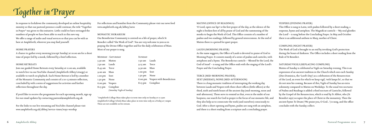

In response to lockdown the community developed an online hospitality ministry so that our pastoral presence could continue; the title "Together in Prayer" was given to this initiative. Little could we have envisaged the numbers of people we have been able to reach in this new way. We offer a range of audio and visual services so that you can be with us here at Ampleforth, wherever you may find yourself.

#### HOME PRAYERS

A chance to gather every morning (except Sunday) at 10.00 am for a short time of prayer led by a monk, followed by a brief reflection.

#### HOME RETREATS

Join our guided Home Retreats every Saturday at 11.00 am, available to watch live via our YouTube channel (Ampleforth Abbey Liturgy) or available to watch on playback. Each Home Retreat is led by a member of the Monastic Community and consists of a 10-15 minute reflection, concluded by with a series of suggestions for activities and further reflection throughout the day.

If you'd like to receive the programme for each upcoming month, sign up for our email updates by contacting pastoral@ampleforth.org.uk

For the links to our live streaming and YouTube channel please visit www.ampleforth.org.uk/abbey/service-times/ways-worship

For reflections and homilies from the Community please visit our news feed www.ampleforth.org.uk/abbey/news

#### MONASTIC HORARIUM

Our Benedictine Community is centred on a life of prayer, which St Benedict called "the Work of God". You are very welcome to join us in praying the Divine Office together and for the daily celebration of Mass. Most of our prayer is sung.

(Saturday: Vigils of Sunday)

|         | <b>MONDAY - SATURDAY</b> | <b>SUNDAY</b>     |                          |
|---------|--------------------------|-------------------|--------------------------|
| 5.30 am | Matins                   | 7.30 am           | Lauds                    |
| 7.30 am | Lauds                    | 9.15 am           | Terce                    |
| 8.45 am | Terce                    | 9.30 am           | Mass                     |
| 9.00 am | Mass                     | 1.00 pm           | Sext                     |
| 1.00 pm | Sext                     | 1.50 pm           | None                     |
| 1.50 pm | None                     | $6.00 \text{ pm}$ | Vespers with Benediction |
| 6.00 pm | Vespers                  | 8.15 pm           | Compline                 |
| 8.15 pm | Compline                 |                   |                          |
|         |                          |                   |                          |

\*Ampleforth College Mass takes place in term time only on Sunday at 11.15am Ampleforth College Schola Mass takes place in term time only on a Friday at 7.00pm These are not available on live stream.

#### MATINS (OFFICE OF READINGS)

'O Lord, open our lips' is the first prayer of the day, as the silence of the night is broken first of all by praise of God and the summoning of the monks to begin the Work of God. This Office consists of a number of psalms and two readings, followed by general intercessions. At the end of

Matins there is a period for quiet prayer.

## LAUDS (MORNING PRAYER)

As the name suggests, the Office of Lauds is devoted to praise of God in Morning Prayer. It consists mainly of a series of psalms and canticles, with antiphons and a hymn. The Benedictus canticle – 'Blessed be the Lord, the God of Israel' – is sung and the Office ends with the singing of the Lord's Prayer and the Concluding Prayer.

### TERCE (MID-MORNING PRAYER);

#### SEXT (MIDDAY); NONE (MID-AFTERNOON)

There is a long monastic tradition of interrupting the working day between Lauds and Vespers with three short offices (little offices) at the third, sixth and ninth hours of the ancient day (mid-morning, noon and mid-afternoon). These serve to remind us that, even in the midst of our busyness, our search for God in prayer is the focus of our monastic life, and they also help us to consecrate the work (and ourselves) consciously to God. After a short opening and hymn, psalms are sung with an antiphon, and there is a short reading from a scripture and a concluding prayer.

### VESPERS (EVENING PRAYER)

This Office is sung in Latin, with psalms followed by a short reading, a response, hymn and antiphon. The Magnificat canticle – 'My soul glorifies the Lord' – is sung before the Concluding Prayer. In May and October there is an additional anthem to Mary, mother of Christ.

### COMPLINE (NIGHT PRAYER)

The Work of God is brought to an end by invoking God's protection during the hours of darkness. The Office includes a short reading from the Rule of St Benedict.

### SATURDAY VIGILS (REPLACING COMPLINE)

Matins of Sunday is celebrated as Vigils on Saturday evening. This is an expression of an ancient tradition in the Church which sees each Sunday (Dies Dominica, the 'Lord's Day') as a celebration of the Resurrection of the Lord, an event for which we keep vigil, 'with lamps lit', so that we do not miss his coming. Because of this, Vigils of Sunday has an extra solemnity compared to Matins on Weekdays. To the usual two nocturns of Psalms and Readings is added a third nocturn of Canticles, followed by the Gospel of the Resurrection, which is read by Fr Abbot, who (St Benedict says) occupies the place of Christ in the monastery. Then the ancient hymn Te Deum ('We praise you, O God…') is sung, and the office concludes with the Sunday collect.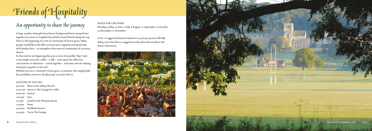

## *An opportunity to share the journey*

A large number of people from diverse backgrounds have enjoyed time together on retreat at Ampleforth and discovered friends along the way. There is the beginning of a sort of community of retreat goers. Many people would like to be able to return more regularly and spend time with familiar faces – to strengthen that sense of community, of a journey shared.

To that end we are beginning this year a series of monthly "days" with a very simple structure: coffee – a talk – some space for reflection, conversation or relaxation – a meal together – and some time for sharing and prayer together at the end.

COST: A suggested donation based on £33.00 per person will fully defray costs, but this is a suggestion only and is left entirely at the donor's discretion.





Whether you are a "seasoned" retreat goer, or someone who simply finds the possibility attractive, do please get in touch with us!

#### OUTLINE OF THE DAY:

9.00 am Mass in the Abbey Church 10.00 am Arrive at The Grange for coffee 10.30 am Session 1.00 pm Sext 1.15 pm Lunch in the Newman Room 1.50 pm None 4:00 pm Feedback Session 4.45 pm Tea in The Grange

#### DATES FOR THE DIARY

Mondays 9 May, 13 June, 11 July, 8 August, 12 September, 10 October, 14 November, 12 December

Pastoral Programme 2022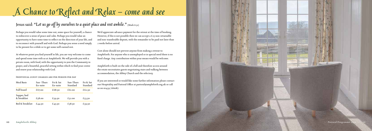Pastoral Programme 20

# *A Chance to Reflect and Relax – come and see*

## Jesus said: "Let us go off by ourselves to a quiet place and rest awhile." (Mark 6:31)

Perhaps you would value some time out, some space for yourself, a chance to rediscover a sense of peace and calm. Perhaps you would value an opportunity to have some time to reflect on the direction of your life, and to reconnect with yourself and with God. Perhaps you sense a need simply to be present for a while or to get some well-earned rest.

At whatever point you find yourself in life, you are very welcome to come and spend some time with us at Ampleforth. We will provide you with a private room, with food, with the opportunity to join the Community in prayer, and a beautiful, peaceful setting within which to find your centre and renew your relationship with God.

#### Individual guest charges are per person per day

We'd appreciate advance payment for the retreat at the time of booking. However, if this is not possible then we can accept a £25 non-returnable and non-transferable deposit, with the remainder to be paid not later than 2 weeks before arrival.

Cost alone should not prevent anyone from making a retreat to Ampleforth. For anyone who is unemployed or in special need there is no fixed charge. Any contribution within your means would be welcome.

Ampleforth is built on the side of a hill and therefore access around the estate necessitates guests negotiating stairs and walking between accommodation, the Abbey Church and the refectory.

If you are interested or would like some further information please contact our Hospitality and Pastoral Office at pastoral@ampleforth.org.uk or call us on 01439 766087.



| Meal Basis                 | Sun-Thurs<br>En-suite | Fri & Sat<br>En-suite | Sun-Thurs<br>Standard | Fri & Sat<br>Standard |
|----------------------------|-----------------------|-----------------------|-----------------------|-----------------------|
| Full board                 | £67.00                | £68.50                | f.61.00               | £62.50                |
| Supper, bed<br>& breakfast | £58.00                | £59.50                | £52.00                | £53.50                |
| Bed & breakfast            | £44.50                | £45.50                | £38.50                | £39.50                |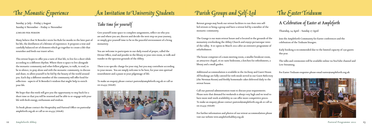## *The Monastic Experience An Invitation to University Students*



Sunday 31 July – Friday 5 August Sunday 6 November – Friday 11 November

£280.00 per person

Many believe that St Benedict wrote his Rule for monks in the later part of his life, the distillation of a lifetime of experience. It proposes a wise and carefully balanced set of elements which go together to create a life that nourishes and feeds our truest selves.

This retreat hopes to offer you a taste of that life, to live for a short while according to a different rhythm. Where there is space to live alongside the monastic community and other fellow pilgrims, to walk, to read, to be in silence, to pray alone and with the monastic community, to discuss and share, to allow yourself to be fed by the beauty of the world around you. Each day a different member of the community will offer food for reflection - aspects of St Benedict's wisdom that might help to enrich your life.

We hope that this week will give you the opportunity to step back for a short time so that you will be renewed and be able to re-engage with your life with fresh energy, enthusiasm and wisdom.

To book please contact the Hospitality and Pastoral Office on pastoral@ ampleforth.org.uk or call us on 01439 766087.

## *Take time for yourself*

Give yourself some space to complete assignments, reflect on who you are and where you are; discern and decide the next step on your journey, or simply give yourself time to be in the peaceful environment of a living monastery.

You are welcome to participate in our daily round of prayer, called the Divine Office, read and ponder in the library or your own room, or walk and wander in the spacious grounds of the Abbey.

There is no specific charge for your stay, but you may contribute according to your means. You are simply welcome to be here, for your own spiritual nourishment and a pause in your pilgrimage of life.

To make an enquiry please contact pastoral@ampleforth.org.uk or call us on 01439 766087.



## *Parish Groups and Self-Led The Easter Triduum*

Retreat groups may book our retreat facilities to run their own selfled retreats or bring a group and have a retreat led by a member of the monastic community.

The Grange is our main retreat house and is located in the grounds of the monastery overlooking the Abbey Church and enjoys picturesque views of the valley. It re-opens in March 2022 after an extensive programme of refurbishment.

The house comprises of a main meeting room, a smaller breakout room, an attractive chapel, 16 en-suite bedrooms, a kitchen for refreshments, a library and a small garden.

Additional accommodation is available in the Archway and Guest House. All bookings are fully catered for with meals served in our Guest Refectory (the Newman Room) and freshly homemade cakes delivered daily to the retreat house.

Call our pastoral administration team to discuss your requirements. Please note that demand for weekends is always very high and we tend to have more mid-week availability so can offer more competitive prices. To make an enquiry please contact pastoral@ampleforth.org.uk or call us on 01439 766087

For further information and photos of our retreat accommodation please visit our website www.ampleforthabbey.org.uk

## *A Celebration of Easter at Ampleforth*

Thursday, 14 April – Sunday 17 April

Join the Ampleforth Community for Easter conferences and the celebration of the Triduum liturgies.

Early booking is recommended due to the limited capacity of 250 guests this year.

The talks and ceremonies will be available online via YouTube channel and Live Streaming.

For Easter Triduum enquiries please email easter@ampleforth.org.uk

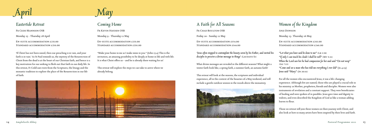

## *Eastertide Retreat* Fr Cedd Mannion OSB

Monday 25 - Thursday 28 April

En-suite accommodation £231.00 Standard accommodation £216.00

'If Christ has not been raised, then our preaching is in vain, and your faith is in vain.' As St Paul reminds us, the mystery of the Resurrection of Christ from the dead is at the heart of our Christian faith, and hence is a key motivation for our seeking to flesh out that faith in our daily life. In this retreat, Fr Cedd uses texts from the Scriptures, the liturgy and the monastic tradition to explore the place of the Resurrection in our life of faith.

*'Jesus often stopped to contemplate the beauty sown by his Father, and invited his disciples to perceive a divine message in things'* (LAUDATO SI)

## *Coming Home*

Fr Kevin Hayden OSB Monday 9 - Thursday 12 May En-suite accommodation £231.00

STANDARD ACCOMMODATION £216.00

"Make your home in me as I make mine in you." (John 15:4) This is the invitation, an amazing possibility to be deeply at home in life and with life. It is what Christ offers us – and he is already there waiting for us!

This retreat will explore the steps we can take to arrive where we already belong.



"If only I can touch his cloak I shall be well" (MT 9:21) *When the Lord saw her he had compassion for her and said "Do not weep"* (Lk 7:13) *"Come and see a man who has told me everything I ever did*" (Jn 4:29) *Jesus said "Mary"*(Jn 20:16)

|  |  |  |  | A Faith for All Seasons |
|--|--|--|--|-------------------------|
|--|--|--|--|-------------------------|

| FR CHAD BOULTON OSB            |
|--------------------------------|
| Friday 20 - Sunday 22 May      |
| EN-SUITE ACCOMMODATION £154.00 |
| STANDARD ACCOMMODATION £144.00 |

What divine messages are revealed in the different seasons? What might a winter faith look like, a spring faith, a summer faith, an autumn faith?

This retreat will look at the seasons, the scriptures and individual experience, all in the context of the beauties of a May weekend, and will include a gentle outdoor session in the woods above the monastery.



## *Women of the Kingdom*

Anji Dowson Monday 23- Thursday 26 May En-suite accommodation £261.00 STANDARD ACCOMMODATION £246.00 *"Let what you have said be done to me"* (Lk 1:38)

For all the women who encountered Jesus, it was a life-changing experience. Although few are named, those who are played a crucial role in his ministry: as Mother, prophetess, friends and disciples. Women were also instruments of revelation and a constant support. They were beneficiaries of healing and were spoken of in parables. Jesus gave time and dignity to widows, and even described the Kingdom of God as like a woman adding leaven to flour.

Those on retreat will join these women on their journey with Christ, and also look at how so many artists have been inspired by their lives and faith.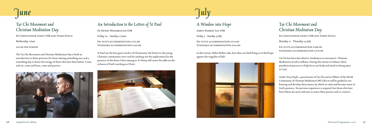

## *Tai Chi Movement and Christian Meditation Day*

Fr Christopher Gorst OSB and Terry Doyle

Wednesday 1 June

£45.00 per person

The Tai Chi Movement and Christian Meditation Day is both an introduction to these practices for those starting something new, and a nourishing day to boost the energy of those who have been before. Come and see, come and learn, come and practice.

## *An Introduction to the Letters of St Paul*

En-suite accommodation £154.00 STANDARD ACCOMMODATION £144.00

Fr Henry Wansbrough OSB Friday 10 – Sunday 12 June En-suite accommodation £154.00

Standard accommodation £144.00

En-suite accommodation £300.00 STANDARD ACCOMMODATION £270.00

St Paul was the first great teacher of Christianity. His letters to the young Christian communities were vital for working out the implications for the presence of the Risen Christ among us. Fr Henry will centre his talks on the richness of Paul's teaching on Christ.







## *A Window into Hope*

Abbot Robert Igo OSB

Friday 1 - Sunday 3 July

In this retreat, Abbot Robert asks, how does our faith bring us to find hope against the tragedies of life?



## *Tai Chi Movement and Christian Meditation Day*

Fr Christopher Gorst OSB and Terry Doyle

Monday 11 - Thursday 14 July

Tai Chi has been described as 'meditation in movement'. Christian Meditation involves stillness. During this retreat we balance these paradoxical practices to help focus our body and mind on being open to God.

Under Terry Doyle, a practitioner of Tai Chi and an Oblate of the World Community of Christian Meditation (WCCM) we will be guided in our learning and develop these means, by which we relax and become aware of God's presence. No previous experience is required, but those who have been before are most welcome to renew their practice and re-connect.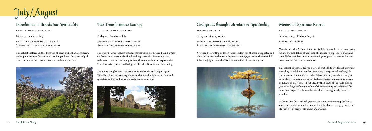

## *Introduction to Benedictine Spirituality*

EN-SUITE ACCOMMODATION £154.00 Standard accommodation £144.00

Fr Wulstan Peterburs OSB

Friday 15 - Sunday 17 July

This retreat explores St Benedict's way of being a Christian; considering the major elements of his spiritual teaching and how these can help all Christians – whether lay or monastic – on their way to God.



## *The Transformative Journey*

Fr Christopher Gorst OSB Friday 22 – Sunday 24 July EN-SUITE ACCOMMODATION £154.00 Standard accommodation £144.00

| God speaks through Literature & Spirituality |
|----------------------------------------------|
| <b>FR BEDE LEACH OSB</b>                     |
| Friday 29 - Sunday 31 July                   |
| EN-SUITE ACCOMMODATION £154.00               |
| STANDARD ACCOMMODATION £144.00               |

Following Fr Christopher's previous retreat titled 'Homeward Bound' which was based on Richard Rohr's book 'Falling Upward'. This new Retreat reflects on some further thoughts from the same author and explores the Transformative pattern in all religions of Order, Disorder and Reordering.

The Reordering becomes the new Order, and so the cycle begins again. We will explore the necessary elements which enable Transformation, and speculate on how and where the cycle comes to an end.



A weekend to gently ponder on some secular texts of prose and poetry, and allow the spirituality between the lines to emerge, & thread them into life & faith in July 2022 as 'the Word becomes flesh & lives among us'



## *Monastic Experience Retreat*

Fr Kevin Hayden OSB Sunday 31 July – Friday 5 August £280.00 per person

Many believe that St Benedict wrote his Rule for monks in the later part of his life, the distillation of a lifetime of experience. It proposes a wise and carefully balanced set of elements which go together to create a life that nourishes and feeds our truest selves.

This retreat hopes to offer you a taste of that life, to live for a short while according to a different rhythm. Where there is space to live alongside the monastic community and other fellow pilgrims, to walk, to read, to be in silence, to pray alone and with the monastic community, to discuss and share, to allow yourself to be fed by the beauty of the world around you. Each day, a different member of the community will offer food for reflection - aspects of St Benedict's wisdom that might help to enrich your life.

We hope that this week will give you the opportunity to step back for a short time so that you will be renewed and be able to re-engage with your life with fresh energy, enthusiasm and wisdom.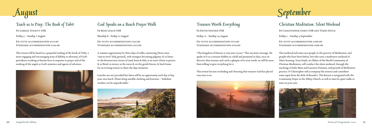

## *Teach us to Pray: The Book of Tobit*

EN-SUITE ACCOMMODATION £154.00 Standard accommodation £144.00

Fr Gabriel Everitt OSB

Friday 5 – Sunday 7 August

En-suite accommodation £342.00 STANDARD ACCOMMODATION £322.00

This retreat will be based on a prayerful reading of the book of Tobit, a most engaging and encouraging story of fidelity in adversity, of God's providence working in human lives in response to prayer and of the working of the angels as God's ministers and agents of salvation.



## *God Speaks on a Beach Prayer Walk*

Fr Bede Leach OSB

Monday 8 - Friday 12 August

A summer opportunity for three days of walks, sauntering [from Latin "sancta terra" holy ground], with strangers becoming pilgrims, & to listen to the Resurrection stories of sand, boats & fish, as we meet Christ in person & in Word, in stories, in the waves & on the gentle breeze, & back home for an evening session to share the days moments.

Lunches are not provided but there will be an opportunity each day to buy your own lunch. Please bring suitable clothing and footwear – Yorkshire weather can be unpredictable!



*Treasure Worth Everything* Fr Kevin Hayden OSB

Friday 12 - Sunday 14 August

EN-SUITE ACCOMMODATION £154.00 STANDARD ACCOMMODATION £144.00

"The Kingdom of Heaven is very near to you." This was Jesus' message. He spoke of it as a treasure hidden in a field and promised us that, once we discover that treasure and catch a glimpse of its true worth, we will be more than willing to give everything for it.

This retreat focuses on finding and choosing that treasure God has placed very near to us.



# *September*

## *Christian Meditation: Silent Weekend*

Fr Christopher Gorst OSB and Terry Doyle

Friday 2 - Sunday 4 September

En-suite accommodation £200.00 Standard accommodation £180.00

This weekend welcomes new people to the practice of Meditation, and people who have been before, but who want a meditative weekend of Silent learning. Terry Doyle, an Oblate of the World Community of Christian Meditation, will conduct the silent weekend, through the teachings of John Main and Laurence Freeman, and periods of Meditation practice. Fr Christopher will accompany the sessions and contribute some input from the Rule of Benedict. The Retreat is integrated with the Community Prayer in the Abbey Church, as well as time for quiet walks or time on your own.

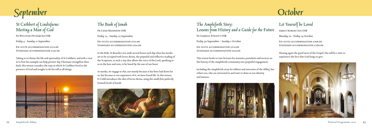

En-suite accommodation £154.00 STANDARD ACCOMMODATION £144.00

*St Cuthbert of Lindisfarne: Meeting a Man of God* Fr Wulstan Peterburs OSB

Friday 9 - Sunday 11 September

Taking as its theme the life and spirituality of St Cuthbert, and with a view as to how his example can help present-day Christians strengthen their faith, this retreat considers the ways in which St Cuthbert lived in the presence of God and sought to do his will in all things.



## *The Book of Jonah*

Fr Cedd Mannion OSB Friday 23 - Sunday 25 September En-suite accommodation £154.00 Standard accommodation £144.00

In the Rule, St Benedict sets aside several hours each day when his monks are to be occupied with lectio divina, the prayerful and reflective reading of the Scriptures, in such a way that allows the voice of the Lord, speaking to us in the here and now, to be heard by the ears of our heart.

En-suite accommodation £308.00 STANDARD ACCOMMODATION £288.00

As monks, we engage in this, not merely because it has been laid down for us, but because in our experience of it, we have found life. In this retreat, Fr Cedd introduces the idea of lectio divina, using the small (but perfectly formed) book of Jonah.



| The Ampleforth Story:<br>Lessons from History and a Guide for the Future |
|--------------------------------------------------------------------------|
| <b>FR GABRIEL EVERITT OSB</b>                                            |
| Friday 30 September - Sunday 1 October                                   |
| EN-SUITE ACCOMMODATION £154.00<br>STANDARD ACCOMMODATION £144.00         |

This retreat looks to turn lectures for monastic postulants and novices on the history of the Ampleforth community into prayerful engagement.

Including the Ampleforth story for oblates and associates of the Abbey, but others too, who are interested in and want to share in our identity and mission.



# *October*

## *Let Yourself be Loved*

Abbot Robert Igo OSB

Monday 10 - Friday 14 October

Hearing again the good news of the Gospel, this will be a time to experience the love that God longs to give.

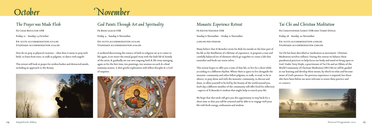

## *The Prayer was Made Flesh*

FR CHAD BOULTON OSB Friday 21 - Sunday 23 October EN-SUITE ACCOMMODATION £154.00 Standard accommodation £144.00

How do we pray as physical creatures – what does it mean to pray with birds, to learn from trees, to walk as pilgrims, to dance with angels?

This retreat will look at prayer for restless bodies and distracted minds, including an approach to the Rosary.



## *God Paints Through Art and Spirituality*

Fr Bede Leach OSB Friday 4 - Sunday 6 November

En-suite accommodation £154.00 Standard accommodation £144.00

A weekend discovering the essence of faith in religious art as it comes to life again, as we weave the initial gospel story with the faith life & homily of the artist, & gradually see our own ongoing faith & life story emerging, again or for the first time; two paintings, two sessions on each & a final summary session. A slow gentle exploration with fellow disciples & a God of surprises.



## *Monastic Experience Retreat*

Fr Kevin Hayden OSB Sunday 6 November – Friday 11 November £280.00 per person

Many believe that St Benedict wrote his Rule for monks in the later part of his life as the distillation of a lifetime of experience. It proposes a wise and carefully balanced set of elements which go together to create a life that nourishes and feeds our truest selves.

This retreat hopes to offer you a taste of that life, to live for a short while according to a different rhythm. Where there is space to live alongside the monastic community and other fellow pilgrims, to walk, to read, to be in silence, to pray alone and with the monastic community, to discuss and share, to allow yourself to be fed by the beauty of the world around you. Each day a different member of the community will offer food for reflection - aspects of St Benedict's wisdom that might help to enrich your life.

We hope that this week will give you the opportunity to step back for a short time so that you will be renewed and be able to re-engage with your life with fresh energy, enthusiasm and wisdom.

## *Tai Chi and Christian Meditation*

Fr Christopher Gorst OSB and Terry Doyle

Friday 18 - Sunday 20 November

En-suite accommodation £200.00 Standard accommodation £180.00

Tai Chi has been described as 'meditation in movement'. Christian Meditation involves stillness. During this retreat we balance these paradoxical practices to help focus our body and mind on being open to God. Under Terry Doyle, a practitioner of Tai Chi and an Oblate of the World Community of Christian Meditation (WCCM) we will be guided in our learning and develop these means, by which we relax and become aware of God's presence. No previous experience is required, but those who have been before are most welcome to renew their practice and re-connect.

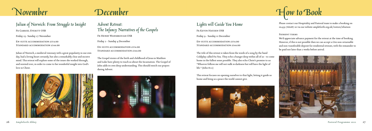# *November December*

*Julian of Norwich: From Struggle to Insight*

Fr Gabriel Everitt OSB

Friday 25- Sunday 27 November

En-suite accommodation £154.00 Standard accommodation £144.00

En-suite accommodation £154.00 STANDARD ACCOMMODATION £144.00

Julian of Norwich, a medieval visionary with a great popularity in our own day, had a loving heart certainly, but also a remarkably clear and incisive mind. This retreat will explore some of the issues she worked through, and worried over, in order to come to her wonderful insight into God's love in Christ.

| Lights will Guide You Home                                       |
|------------------------------------------------------------------|
| <b>FR KEVIN HAYDEN OSB</b>                                       |
| Friday 9 - Sunday 11 December                                    |
| EN-SUITE ACCOMMODATION £154.00<br>STANDARD ACCOMMODATION £144.00 |

*Advent Retreat: The Infancy Narratives of the Gospels*

FR HENRY WANSBROUGH OSB

Friday 2 - Sunday 4 December

The Gospel stories of the birth and childhood of Jesus in Matthew and Luke have plenty to teach us about the Incarnation. The Gospel of John adds its own deep understanding. This should enrich our prayers during Advent.





The title of this retreat is taken from the words of a song by the band Coldplay called Fix You. They echo a hunger deep within all of us - to come home in the fullest sense possible. They also echo Christ's promise to us: "Whoever follows me will not walk in darkness but will have the light of life." (John 8:12)

This retreat focuses on opening ourselves to that light, letting it guide us home and bring us a peace the world cannot give.





Please contact our Hospitality and Pastoral team to make a booking on 01439 766087 or via our website ampleforth.org.uk/visitors/whatson

#### PAYMENT TERMS

We'd appreciate advance payment for the retreat at the time of booking. However, if this is not possible then we can accept a £60 non-returnable and non-transferable deposit for residential retreats, with the remainder to be paid not later than 2 weeks before arrival.

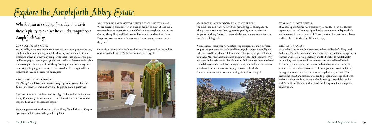## *Whether you are staying for a day or a week there is plenty to and see here in the magnificent Ampleforth Valley.*

### CONNECTING TO NATURE

Set in a valley in the Howardian Hills Area of Outstanding Natural Beauty, the Estate lands surrounding Ampleforth Abbey are rich in wildlife and history. Journeys into the valley can provide a real sense of discovery, place and belonging. We have regular guided short walks to describe and explain the ecology and landscape of the Abbey Estate, putting the scenery into context and helping you connect to the natural world. Longer walks or night walks can also be arranged on request.

### AMPLEFORTH ABBEY CHURCH

The Abbey Church is open to visitors every day from 5.30am – 8.45pm. You are welcome to come in at any time to pray or make a quiet visit.

The past 18 months have been a season of great change for the Ampleforth Abbey Community. As we have moved out of restrictions our doors have reopened and a new chapter has begun.

We are hoping to reintroduce tours of the Abbey Church shortly. Keep an eye on our website later in the year for updates.

*Explore the Ampleforth Abbey Estate*

AMPLEFORTH ABBEY VISITOR CENTRE, SHOP AND TEA ROOM We are currently embarking on an exciting project to bring a brand-new, renovated visitor experience to Ampleforth. Once completed, our Visitor Centre, Abbey Shop and Tea Room will be located in Alban Roe House. Keep an eye on our website for more updates as to our progress later in the year.

Our Abbey Shop is still available online with postage or click and collect options available https://abbeyshop.ampleforth.org.uk/



AMPLEFORTH ABBEY ORCHARD AND CIDER MILL For more than 200 years, we have been growing apples at Ampleforth Abbey. Today, with more than 2,500 trees growing over 10 acres, the Ampleforth Abbey Orchard is one of the largest commercial orchards in the North of England.

A succession of more than 50 varieties of apple ripens naturally between August and January in our traditionally managed orchards. Our full juice cider is crafted from a blend of dessert and culinary apples, pressed in our own Cider Mill where it is fermented and matured for eight months. Why not come and see the Orchard in bloom and find out more about our handcrafted drinks production? We run regular tours throughout the summer months and can accommodate both groups and individuals. For more information please email lettings@ampleforth.org.uk



#### ST ALBAN'S SPORTS CENTRE

St. Albans Sports Centre has everything you need for a fun filled fitness experience. The well-equipped gym heated indoor pool and sports halls are supervised by well trained staff. There is a wide choice of fitness classes and lots of activities for the children to enjoy.

#### FRIENDSHIP FOREST

We also have the Friendship Forest set in the woodland of Gilling Castle Parklands. Forest Schools, and their ability to create resilient, independent learners are increasing in popularity, and the benefits to mental health of spending time in wooded environments are now well established. In consultation with your group, we can devise bespoke sessions to fit your needs (curriculum-linked, active learning or quiet contemplation) or suggest sessions linked to the seasonal rhythms of the Estate. The Friendship Forest and sessions are open to people and groups of all ages. Walks and the Friendship Forest are led by Georgia, a qualified teacher and Forest School Leader with an academic background in ecology and conservation.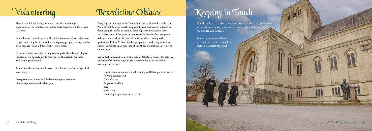# *Volunteering Benedictine Oblates*



Here at Ampleforth Abbey, we aim to provide a wide range of opportunities for volunteers to explore and experience our Estate and its works.

Our volunteers come from all walks of life. From retired folk who "want to give something back" to students and young people looking to widen their experience and aid their first step into work.

There are a variety of roles throughout Ampleforth Abbey which gives individuals the opportunity to find the role that is right for them. Full training is provided.

Please note that we are unable to accept volunteers under the age of 18 years of age.

To register your interest and find our more please contact abbeyreception@ampleforth.org.uk

Every day the monks pray the Divine Office, what St Benedict called the Work of God. You can join them spiritually and pray in association with them, using the Office or a similar form of prayer. You can also learn and follow some of the spirit and wisdom of St Benedict by attempting to lead a more perfect Christian life in the world according to the spirit of the Rule of St Benedict. Lay people who do this might wish to become an Oblate or an Associate of the Abbey and making a promise of commitment.

Lay Catholic men and women who become Oblates are under the spiritual guidance of the monastery and are recommended to attend Oblate meetings and retreats.

For further information about becoming an Oblate, please write to: Fr Philip Rozario OSB Oblate Master Ampleforth Abbey York YO62 4EN or email: philip@ampleforth.org.uk

# *Keeping in Touch*

Would you like to receive communications relating to our latest news, information about forthcoming retreats, events and the works of Ampleforth Abbey Trust?

Sign up now on our website or send us a request via email to pastoral@ampleforth.org.uk.